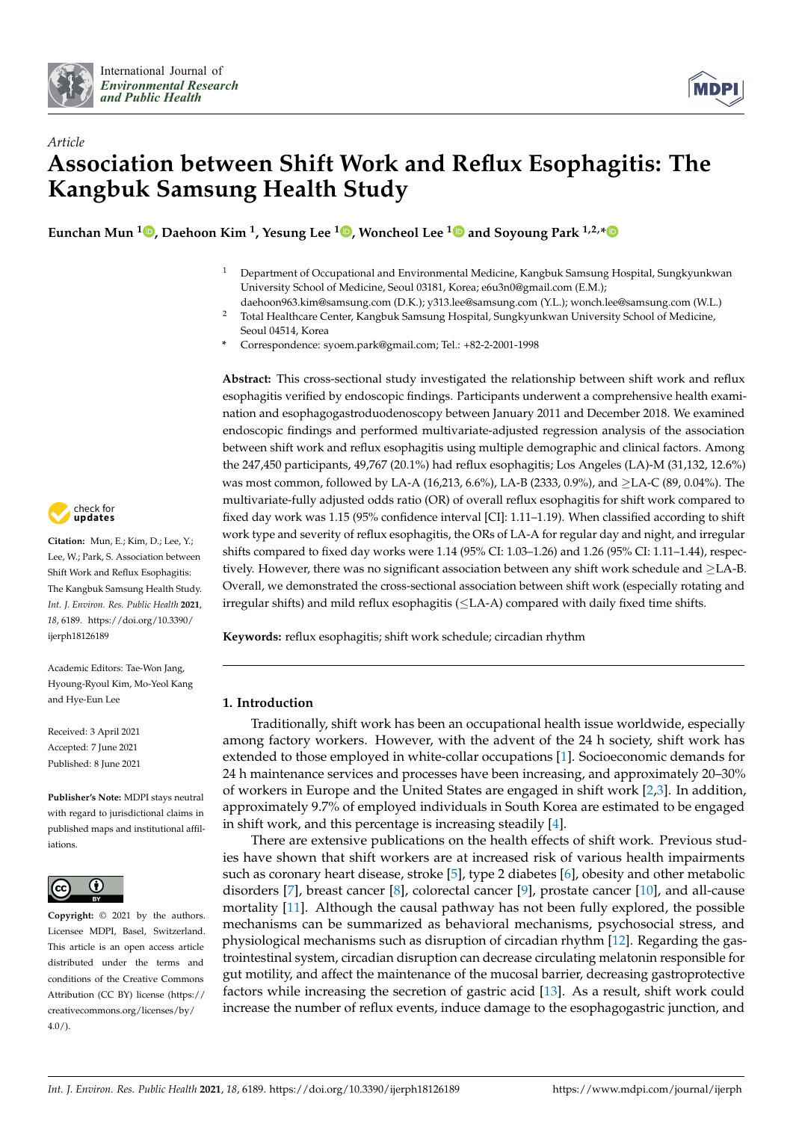



# *Article* **Association between Shift Work and Reflux Esophagitis: The Kangbuk Samsung Health Study**

**Eunchan Mun <sup>1</sup> [,](https://orcid.org/0000-0002-2808-0423) Daehoon Kim <sup>1</sup> , Yesung Lee [1](https://orcid.org/0000-0002-8844-492X) , Woncheol Lee [1](https://orcid.org/0000-0001-8535-3988) and Soyoung Park 1,2,[\\*](https://orcid.org/0000-0003-2163-5892)**

- <sup>1</sup> Department of Occupational and Environmental Medicine, Kangbuk Samsung Hospital, Sungkyunkwan University School of Medicine, Seoul 03181, Korea; e6u3n0@gmail.com (E.M.);
- daehoon963.kim@samsung.com (D.K.); y313.lee@samsung.com (Y.L.); wonch.lee@samsung.com (W.L.) <sup>2</sup> Total Healthcare Center, Kangbuk Samsung Hospital, Sungkyunkwan University School of Medicine, Seoul 04514, Korea
- **\*** Correspondence: syoem.park@gmail.com; Tel.: +82-2-2001-1998

**Abstract:** This cross-sectional study investigated the relationship between shift work and reflux esophagitis verified by endoscopic findings. Participants underwent a comprehensive health examination and esophagogastroduodenoscopy between January 2011 and December 2018. We examined endoscopic findings and performed multivariate-adjusted regression analysis of the association between shift work and reflux esophagitis using multiple demographic and clinical factors. Among the 247,450 participants, 49,767 (20.1%) had reflux esophagitis; Los Angeles (LA)-M (31,132, 12.6%) was most common, followed by LA-A (16,213, 6.6%), LA-B (2333, 0.9%), and ≥LA-C (89, 0.04%). The multivariate-fully adjusted odds ratio (OR) of overall reflux esophagitis for shift work compared to fixed day work was 1.15 (95% confidence interval [CI]: 1.11–1.19). When classified according to shift work type and severity of reflux esophagitis, the ORs of LA-A for regular day and night, and irregular shifts compared to fixed day works were 1.14 (95% CI: 1.03–1.26) and 1.26 (95% CI: 1.11–1.44), respectively. However, there was no significant association between any shift work schedule and ≥LA-B. Overall, we demonstrated the cross-sectional association between shift work (especially rotating and irregular shifts) and mild reflux esophagitis (≤LA-A) compared with daily fixed time shifts.

**Keywords:** reflux esophagitis; shift work schedule; circadian rhythm

#### **1. Introduction**

Traditionally, shift work has been an occupational health issue worldwide, especially among factory workers. However, with the advent of the 24 h society, shift work has extended to those employed in white-collar occupations [\[1\]](#page-7-0). Socioeconomic demands for 24 h maintenance services and processes have been increasing, and approximately 20–30% of workers in Europe and the United States are engaged in shift work [\[2](#page-7-1)[,3\]](#page-7-2). In addition, approximately 9.7% of employed individuals in South Korea are estimated to be engaged in shift work, and this percentage is increasing steadily [\[4\]](#page-8-0).

There are extensive publications on the health effects of shift work. Previous studies have shown that shift workers are at increased risk of various health impairments such as coronary heart disease, stroke [\[5\]](#page-8-1), type 2 diabetes [\[6\]](#page-8-2), obesity and other metabolic disorders [\[7\]](#page-8-3), breast cancer [\[8\]](#page-8-4), colorectal cancer [\[9\]](#page-8-5), prostate cancer [\[10\]](#page-8-6), and all-cause mortality [\[11\]](#page-8-7). Although the causal pathway has not been fully explored, the possible mechanisms can be summarized as behavioral mechanisms, psychosocial stress, and physiological mechanisms such as disruption of circadian rhythm [\[12\]](#page-8-8). Regarding the gastrointestinal system, circadian disruption can decrease circulating melatonin responsible for gut motility, and affect the maintenance of the mucosal barrier, decreasing gastroprotective factors while increasing the secretion of gastric acid [\[13\]](#page-8-9). As a result, shift work could increase the number of reflux events, induce damage to the esophagogastric junction, and



**Citation:** Mun, E.; Kim, D.; Lee, Y.; Lee, W.; Park, S. Association between Shift Work and Reflux Esophagitis: The Kangbuk Samsung Health Study. *Int. J. Environ. Res. Public Health* **2021**, *18*, 6189. [https://doi.org/10.3390/](https://doi.org/10.3390/ijerph18126189) [ijerph18126189](https://doi.org/10.3390/ijerph18126189)

Academic Editors: Tae-Won Jang, Hyoung-Ryoul Kim, Mo-Yeol Kang and Hye-Eun Lee

Received: 3 April 2021 Accepted: 7 June 2021 Published: 8 June 2021

**Publisher's Note:** MDPI stays neutral with regard to jurisdictional claims in published maps and institutional affiliations.



**Copyright:** © 2021 by the authors. Licensee MDPI, Basel, Switzerland. This article is an open access article distributed under the terms and conditions of the Creative Commons Attribution (CC BY) license (https:/[/](https://creativecommons.org/licenses/by/4.0/) [creativecommons.org/licenses/by/](https://creativecommons.org/licenses/by/4.0/) 4.0/).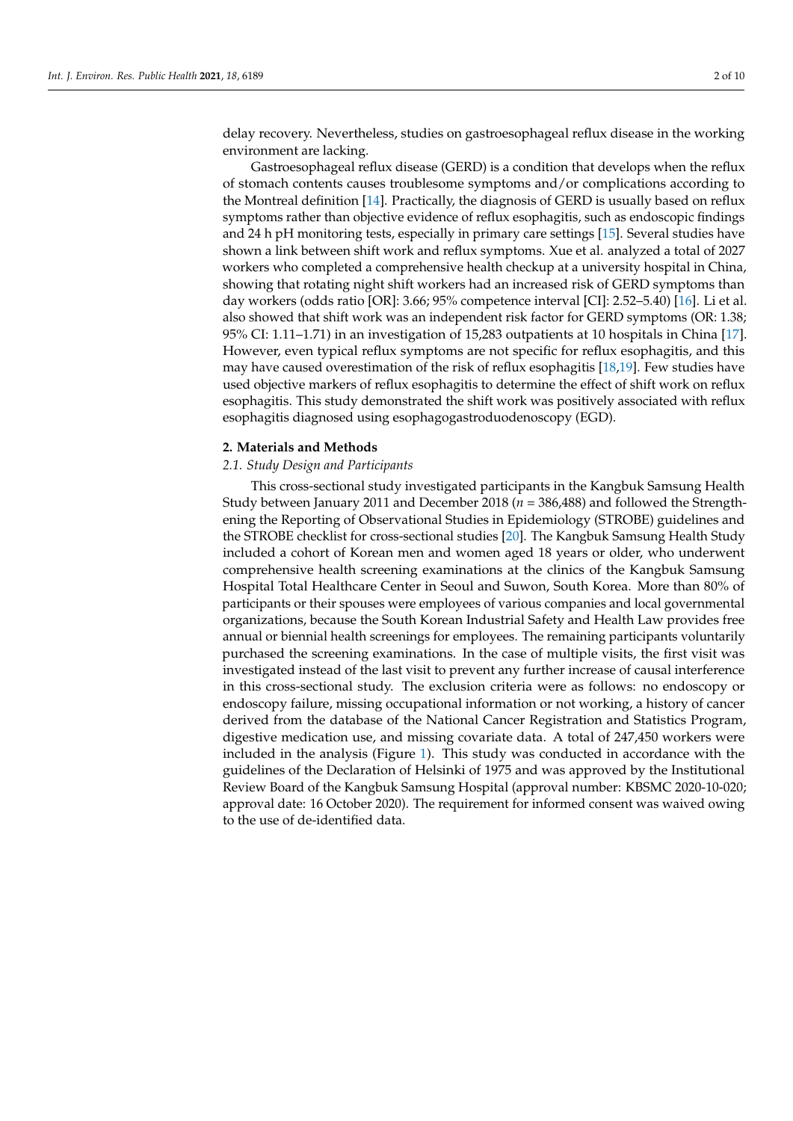delay recovery. Nevertheless, studies on gastroesophageal reflux disease in the working environment are lacking.

Gastroesophageal reflux disease (GERD) is a condition that develops when the reflux of stomach contents causes troublesome symptoms and/or complications according to the Montreal definition [\[14\]](#page-8-10). Practically, the diagnosis of GERD is usually based on reflux symptoms rather than objective evidence of reflux esophagitis, such as endoscopic findings and 24 h pH monitoring tests, especially in primary care settings [\[15\]](#page-8-11). Several studies have shown a link between shift work and reflux symptoms. Xue et al. analyzed a total of 2027 workers who completed a comprehensive health checkup at a university hospital in China, showing that rotating night shift workers had an increased risk of GERD symptoms than day workers (odds ratio [OR]: 3.66; 95% competence interval [CI]: 2.52–5.40) [\[16\]](#page-8-12). Li et al. also showed that shift work was an independent risk factor for GERD symptoms (OR: 1.38; 95% CI: 1.11–1.71) in an investigation of 15,283 outpatients at 10 hospitals in China [\[17\]](#page-8-13). However, even typical reflux symptoms are not specific for reflux esophagitis, and this may have caused overestimation of the risk of reflux esophagitis [\[18,](#page-8-14)[19\]](#page-8-15). Few studies have used objective markers of reflux esophagitis to determine the effect of shift work on reflux esophagitis. This study demonstrated the shift work was positively associated with reflux esophagitis diagnosed using esophagogastroduodenoscopy (EGD).

#### **2. Materials and Methods**

#### *2.1. Study Design and Participants*

This cross-sectional study investigated participants in the Kangbuk Samsung Health Study between January 2011 and December 2018 (*n* = 386,488) and followed the Strengthening the Reporting of Observational Studies in Epidemiology (STROBE) guidelines and the STROBE checklist for cross-sectional studies [\[20\]](#page-8-16). The Kangbuk Samsung Health Study included a cohort of Korean men and women aged 18 years or older, who underwent comprehensive health screening examinations at the clinics of the Kangbuk Samsung Hospital Total Healthcare Center in Seoul and Suwon, South Korea. More than 80% of participants or their spouses were employees of various companies and local governmental organizations, because the South Korean Industrial Safety and Health Law provides free annual or biennial health screenings for employees. The remaining participants voluntarily purchased the screening examinations. In the case of multiple visits, the first visit was investigated instead of the last visit to prevent any further increase of causal interference in this cross-sectional study. The exclusion criteria were as follows: no endoscopy or endoscopy failure, missing occupational information or not working, a history of cancer derived from the database of the National Cancer Registration and Statistics Program, digestive medication use, and missing covariate data. A total of 247,450 workers were included in the analysis (Figure [1\)](#page-2-0). This study was conducted in accordance with the guidelines of the Declaration of Helsinki of 1975 and was approved by the Institutional Review Board of the Kangbuk Samsung Hospital (approval number: KBSMC 2020-10-020; approval date: 16 October 2020). The requirement for informed consent was waived owing to the use of de-identified data.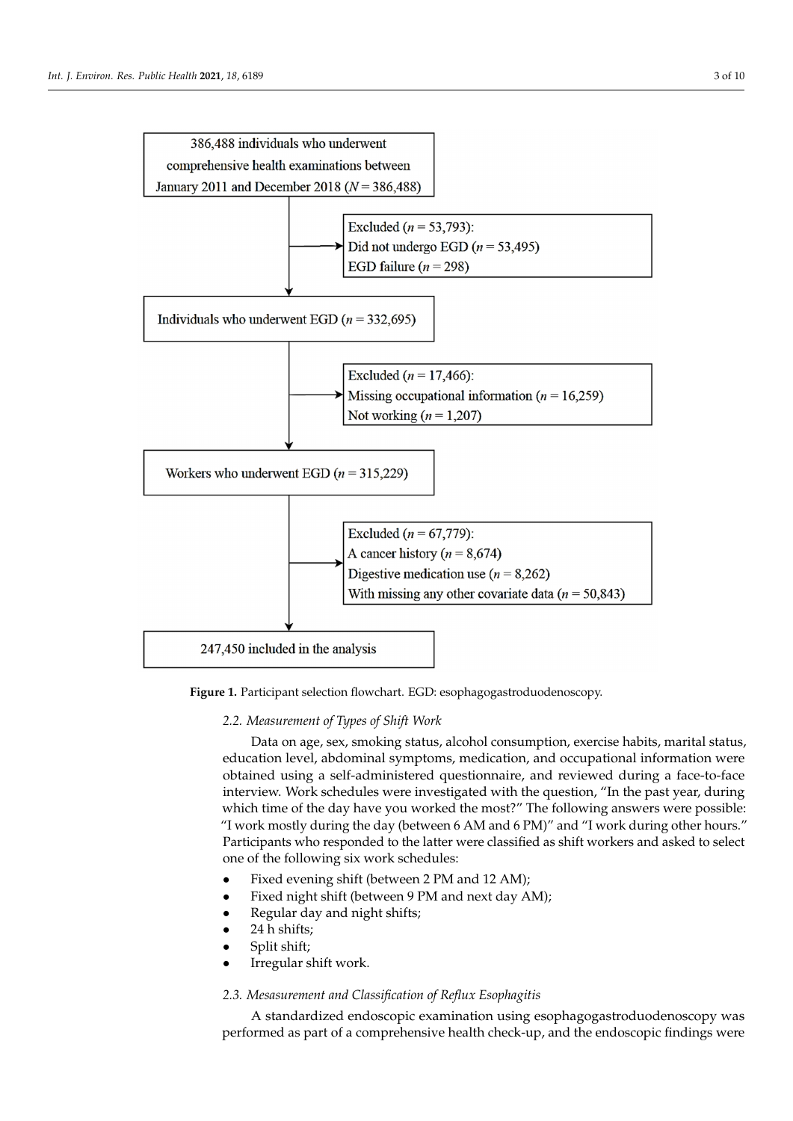<span id="page-2-0"></span>

**Figure 1.** Participant selection flowchart. EGD: esophagogastroduodenoscopy. **Figure 1.** Participant selection flowchart. EGD: esophagogastroduodenoscopy.

*2.2. Measurement of Types of Shift Work 2.2. Measurement of Types of Shift Work*

Data on age, sex, smoking status, alcohol consumption, exercise habits, marital status, education level, abdominal symptoms, medication, and occupational information were obtained using a self-administered questionnaire, and reviewed during a face-to-face interview. Work schedules were investigated with the question, "In the past year, during which time of the day have you worked the most?" The following answers were possible: possible: "I work mostly during the day (between 6 AM and 6 PM)" and "I work during "I work mostly during the day (between 6 AM and 6 PM)" and "I work during other hours." Participants who responded to the latter were classified as shift workers and asked to select one of the following six work schedules:

- Fixed evening shift (between 2 PM and 12 AM); Fixed evening shift (between 2 PM and 12 AM);
- Fixed night shift (between 9 PM and next day AM); Fixed night shift (between 9 PM and next day AM);
- Regular day and night shifts;
- $\bullet$ • 24 h shifts;
- $\bullet$  Split shift; shift; shift; shift; shift; shift; shift; shift; shift; shift; shift; shift; shift; shift; shift; shift; shift; shift; shift; shift; shift; shift; shift; shift; shift; shift; shift; shift; shift; shift; • Split shift;
- Irregular shift work. Irregular shift work.

# *2.3. Mesasurement and Classification of Reflux Esophagitis 2.3. Mesasurement and Classification of Reflux Esophagitis*

A standardized endoscopic examination using esophagogastroduodenoscopy was A standardized endoscopic examination using esophagogastroduodenoscopy was performed as part of a comprehensive health check-up, and the endoscopic findings were performed as part of a comprehensive health check-up, and the endoscopic findings were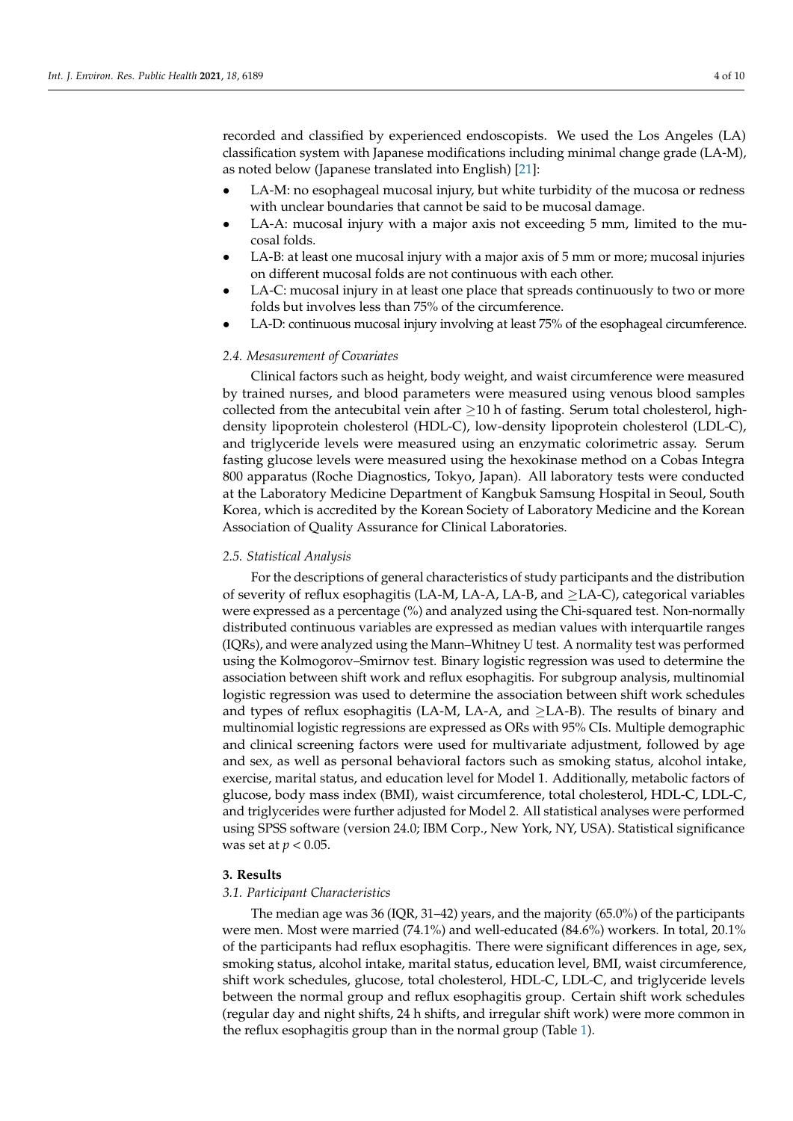recorded and classified by experienced endoscopists. We used the Los Angeles (LA) classification system with Japanese modifications including minimal change grade (LA-M), as noted below (Japanese translated into English) [\[21\]](#page-8-17):

- LA-M: no esophageal mucosal injury, but white turbidity of the mucosa or redness with unclear boundaries that cannot be said to be mucosal damage.
- LA-A: mucosal injury with a major axis not exceeding 5 mm, limited to the mucosal folds.
- LA-B: at least one mucosal injury with a major axis of 5 mm or more; mucosal injuries on different mucosal folds are not continuous with each other.
- LA-C: mucosal injury in at least one place that spreads continuously to two or more folds but involves less than 75% of the circumference.
- LA-D: continuous mucosal injury involving at least 75% of the esophageal circumference.

#### *2.4. Mesasurement of Covariates*

Clinical factors such as height, body weight, and waist circumference were measured by trained nurses, and blood parameters were measured using venous blood samples collected from the antecubital vein after  $\geq$ 10 h of fasting. Serum total cholesterol, highdensity lipoprotein cholesterol (HDL-C), low-density lipoprotein cholesterol (LDL-C), and triglyceride levels were measured using an enzymatic colorimetric assay. Serum fasting glucose levels were measured using the hexokinase method on a Cobas Integra 800 apparatus (Roche Diagnostics, Tokyo, Japan). All laboratory tests were conducted at the Laboratory Medicine Department of Kangbuk Samsung Hospital in Seoul, South Korea, which is accredited by the Korean Society of Laboratory Medicine and the Korean Association of Quality Assurance for Clinical Laboratories.

#### *2.5. Statistical Analysis*

For the descriptions of general characteristics of study participants and the distribution of severity of reflux esophagitis (LA-M, LA-A, LA-B, and  $\geq$ LA-C), categorical variables were expressed as a percentage (%) and analyzed using the Chi-squared test. Non-normally distributed continuous variables are expressed as median values with interquartile ranges (IQRs), and were analyzed using the Mann–Whitney U test. A normality test was performed using the Kolmogorov–Smirnov test. Binary logistic regression was used to determine the association between shift work and reflux esophagitis. For subgroup analysis, multinomial logistic regression was used to determine the association between shift work schedules and types of reflux esophagitis (LA-M, LA-A, and  $\geq$ LA-B). The results of binary and multinomial logistic regressions are expressed as ORs with 95% CIs. Multiple demographic and clinical screening factors were used for multivariate adjustment, followed by age and sex, as well as personal behavioral factors such as smoking status, alcohol intake, exercise, marital status, and education level for Model 1. Additionally, metabolic factors of glucose, body mass index (BMI), waist circumference, total cholesterol, HDL-C, LDL-C, and triglycerides were further adjusted for Model 2. All statistical analyses were performed using SPSS software (version 24.0; IBM Corp., New York, NY, USA). Statistical significance was set at *p* < 0.05.

#### **3. Results**

#### *3.1. Participant Characteristics*

The median age was 36 (IQR, 31–42) years, and the majority (65.0%) of the participants were men. Most were married (74.1%) and well-educated (84.6%) workers. In total, 20.1% of the participants had reflux esophagitis. There were significant differences in age, sex, smoking status, alcohol intake, marital status, education level, BMI, waist circumference, shift work schedules, glucose, total cholesterol, HDL-C, LDL-C, and triglyceride levels between the normal group and reflux esophagitis group. Certain shift work schedules (regular day and night shifts, 24 h shifts, and irregular shift work) were more common in the reflux esophagitis group than in the normal group (Table [1\)](#page-4-0).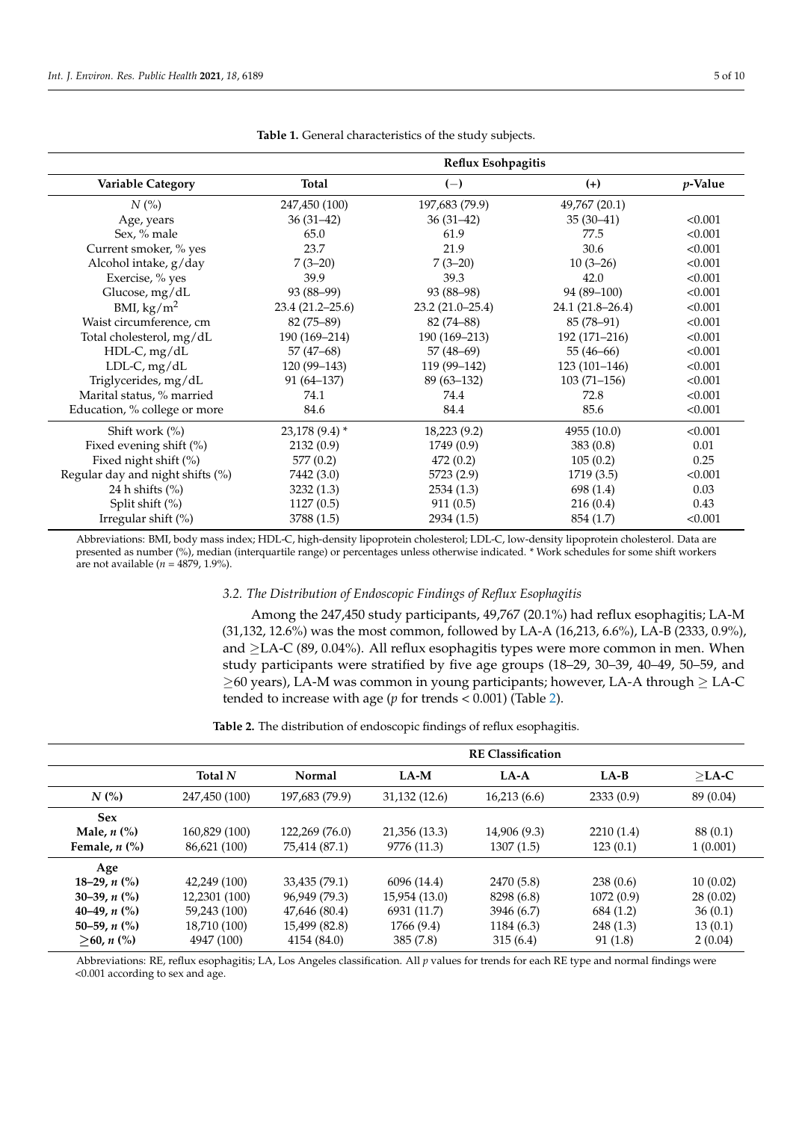<span id="page-4-0"></span>

|                                  | Reflux Esohpagitis  |                   |                  |                 |
|----------------------------------|---------------------|-------------------|------------------|-----------------|
| Variable Category                | Total               | $(-)$             | $(+)$            | <i>p</i> -Value |
| $N$ (%)                          | 247,450 (100)       | 197,683 (79.9)    | 49,767 (20.1)    |                 |
| Age, years                       | $36(31-42)$         | $36(31-42)$       | $35(30-41)$      | < 0.001         |
| Sex, % male                      | 65.0                | 61.9              | 77.5             | < 0.001         |
| Current smoker, % yes            | 23.7                | 21.9              | 30.6             | < 0.001         |
| Alcohol intake, g/day            | $7(3-20)$           | $7(3-20)$         | $10(3-26)$       | < 0.001         |
| Exercise, % yes                  | 39.9                | 39.3              | 42.0             | < 0.001         |
| Glucose, mg/dL                   | 93 (88-99)          | 93 (88–98)        | 94 (89-100)      | < 0.001         |
| BMI, $\text{kg/m}^2$             | $23.4(21.2 - 25.6)$ | $23.2(21.0-25.4)$ | 24.1 (21.8–26.4) | < 0.001         |
| Waist circumference, cm          | $82(75-89)$         | $82(74 - 88)$     | 85 (78–91)       | < 0.001         |
| Total cholesterol, mg/dL         | 190 (169-214)       | 190 (169–213)     | 192 (171-216)    | < 0.001         |
| HDL-C, mg/dL                     | $57(47-68)$         | $57(48-69)$       | $55(46-66)$      | < 0.001         |
| $LDL-C, mg/dL$                   | 120 (99-143)        | 119 (99-142)      | $123(101-146)$   | < 0.001         |
| Triglycerides, mg/dL             | $91(64-137)$        | $89(63 - 132)$    | $103(71-156)$    | < 0.001         |
| Marital status, % married        | 74.1                | 74.4              | 72.8             | < 0.001         |
| Education, % college or more     | 84.6                | 84.4              | 85.6             | < 0.001         |
| Shift work (%)                   | $23,178(9.4)$ *     | 18,223 (9.2)      | 4955 (10.0)      | < 0.001         |
| Fixed evening shift (%)          | 2132(0.9)           | 1749 (0.9)        | 383(0.8)         | 0.01            |
| Fixed night shift (%)            | 577(0.2)            | 472(0.2)          | 105(0.2)         | 0.25            |
| Regular day and night shifts (%) | 7442 (3.0)          | 5723 (2.9)        | 1719 (3.5)       | < 0.001         |
| 24 h shifts $(\% )$              | 3232(1.3)           | 2534(1.3)         | 698 (1.4)        | 0.03            |
| Split shift (%)                  | 1127(0.5)           | 911(0.5)          | 216(0.4)         | 0.43            |
| Irregular shift $(\%)$           | 3788 (1.5)          | 2934(1.5)         | 854 (1.7)        | < 0.001         |

**Table 1.** General characteristics of the study subjects.

Abbreviations: BMI, body mass index; HDL-C, high-density lipoprotein cholesterol; LDL-C, low-density lipoprotein cholesterol. Data are presented as number (%), median (interquartile range) or percentages unless otherwise indicated. \* Work schedules for some shift workers are not available (*n =* 4879, 1.9%).

## *3.2. The Distribution of Endoscopic Findings of Reflux Esophagitis*

Among the 247,450 study participants, 49,767 (20.1%) had reflux esophagitis; LA-M (31,132, 12.6%) was the most common, followed by LA-A (16,213, 6.6%), LA-B (2333, 0.9%), and  $\geq$ LA-C (89, 0.04%). All reflux esophagitis types were more common in men. When study participants were stratified by five age groups (18–29, 30–39, 40–49, 50–59, and  $\geq$ 60 years), LA-M was common in young participants; however, LA-A through  $\geq$  LA-C tended to increase with age (*p* for trends < 0.001) (Table [2\)](#page-4-1).

**Table 2.** The distribution of endoscopic findings of reflux esophagitis.

<span id="page-4-1"></span>

|                                        | <b>RE Classification</b> |                |               |              |           |           |
|----------------------------------------|--------------------------|----------------|---------------|--------------|-----------|-----------|
|                                        | Total N                  | Normal         | $LA-M$        | $LA-A$       | $LA-B$    | $>$ LA-C  |
| N(%)                                   | 247,450 (100)            | 197,683 (79.9) | 31,132(12.6)  | 16,213(6.6)  | 2333(0.9) | 89 (0.04) |
| <b>Sex</b>                             |                          |                |               |              |           |           |
| Male, $n$ $\left(\% \right)$           | 160,829 (100)            | 122,269 (76.0) | 21,356 (13.3) | 14,906 (9.3) | 2210(1.4) | 88 (0.1)  |
| Female, $n$ $\left(\frac{9}{6}\right)$ | 86,621 (100)             | 75,414 (87.1)  | 9776 (11.3)   | 1307(1.5)    | 123(0.1)  | 1(0.001)  |
| Age                                    |                          |                |               |              |           |           |
| 18–29, n $\left(\frac{9}{6}\right)$    | 42,249 (100)             | 33,435 (79.1)  | 6096 (14.4)   | 2470 (5.8)   | 238(0.6)  | 10(0.02)  |
| 30–39, $n$ $\binom{0}{0}$              | 12,2301 (100)            | 96,949 (79.3)  | 15,954 (13.0) | 8298 (6.8)   | 1072(0.9) | 28(0.02)  |
| 40–49, $n$ (%)                         | 59,243 (100)             | 47,646 (80.4)  | 6931 (11.7)   | 3946 (6.7)   | 684 (1.2) | 36(0.1)   |
| 50–59, $n$ (%)                         | 18,710 (100)             | 15,499 (82.8)  | 1766 (9.4)    | 1184 (6.3)   | 248(1.3)  | 13(0.1)   |
| $>60, n$ (%)                           | 4947 (100)               | 4154 (84.0)    | 385(7.8)      | 315(6.4)     | 91(1.8)   | 2(0.04)   |

Abbreviations: RE, reflux esophagitis; LA, Los Angeles classification. All *p* values for trends for each RE type and normal findings were <0.001 according to sex and age.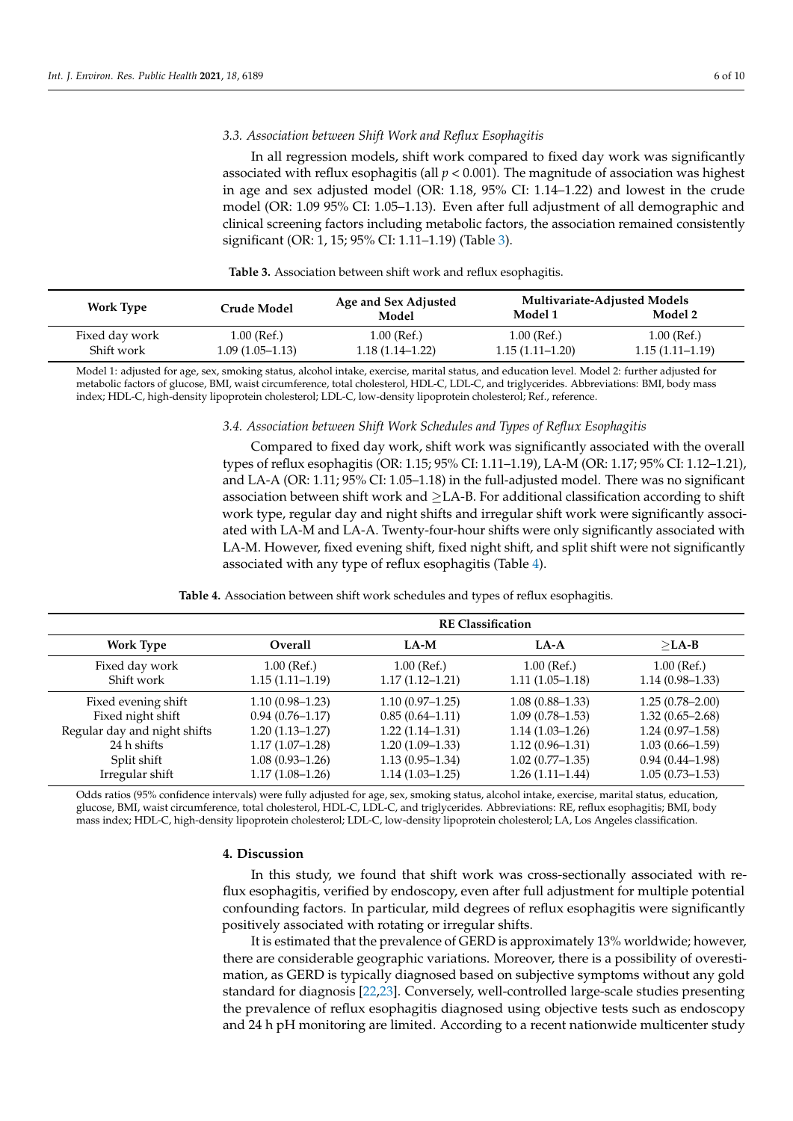#### *3.3. Association between Shift Work and Reflux Esophagitis*

In all regression models, shift work compared to fixed day work was significantly associated with reflux esophagitis (all  $p < 0.001$ ). The magnitude of association was highest in age and sex adjusted model (OR: 1.18, 95% CI: 1.14–1.22) and lowest in the crude model (OR: 1.09 95% CI: 1.05–1.13). Even after full adjustment of all demographic and clinical screening factors including metabolic factors, the association remained consistently significant (OR: 1, 15; 95% CI: 1.11–1.19) (Table [3\)](#page-5-0).

<span id="page-5-0"></span>

| <b>Work Type</b>             |                                    | Age and Sex Adjusted               |                                    | <b>Multivariate-Adjusted Models</b> |  |
|------------------------------|------------------------------------|------------------------------------|------------------------------------|-------------------------------------|--|
|                              | Crude Model                        | Model                              | Model 1                            | Model 2                             |  |
| Fixed day work<br>Shift work | $1.00$ (Ref.)<br>$1.09(1.05-1.13)$ | $1.00$ (Ref.)<br>$1.18(1.14-1.22)$ | $1.00$ (Ref.)<br>$1.15(1.11-1.20)$ | $1.00$ (Ref.)<br>$1.15(1.11-1.19)$  |  |

**Table 3.** Association between shift work and reflux esophagitis.

Model 1: adjusted for age, sex, smoking status, alcohol intake, exercise, marital status, and education level. Model 2: further adjusted for metabolic factors of glucose, BMI, waist circumference, total cholesterol, HDL-C, LDL-C, and triglycerides. Abbreviations: BMI, body mass index; HDL-C, high-density lipoprotein cholesterol; LDL-C, low-density lipoprotein cholesterol; Ref., reference.

#### *3.4. Association between Shift Work Schedules and Types of Reflux Esophagitis*

Compared to fixed day work, shift work was significantly associated with the overall types of reflux esophagitis (OR: 1.15; 95% CI: 1.11–1.19), LA-M (OR: 1.17; 95% CI: 1.12–1.21), and LA-A (OR: 1.11; 95% CI: 1.05–1.18) in the full-adjusted model. There was no significant association between shift work and  $\geq$  LA-B. For additional classification according to shift work type, regular day and night shifts and irregular shift work were significantly associated with LA-M and LA-A. Twenty-four-hour shifts were only significantly associated with LA-M. However, fixed evening shift, fixed night shift, and split shift were not significantly associated with any type of reflux esophagitis (Table [4\)](#page-5-1).

**Table 4.** Association between shift work schedules and types of reflux esophagitis.

<span id="page-5-1"></span>

|                              | <b>RE Classification</b> |                     |                     |                     |
|------------------------------|--------------------------|---------------------|---------------------|---------------------|
| <b>Work Type</b>             | <b>Overall</b>           | $LA-M$              | LA-A                | $>$ LA-B            |
| Fixed day work               | $1.00$ (Ref.)            | $1.00$ (Ref.)       | $1.00$ (Ref.)       | $1.00$ (Ref.)       |
| Shift work                   | $1.15(1.11-1.19)$        | $1.17(1.12 - 1.21)$ | $1.11(1.05-1.18)$   | $1.14(0.98-1.33)$   |
| Fixed evening shift          | $1.10(0.98 - 1.23)$      | $1.10(0.97 - 1.25)$ | $1.08(0.88 - 1.33)$ | $1.25(0.78-2.00)$   |
| Fixed night shift            | $0.94(0.76 - 1.17)$      | $0.85(0.64 - 1.11)$ | $1.09(0.78 - 1.53)$ | $1.32(0.65 - 2.68)$ |
| Regular day and night shifts | $1.20(1.13 - 1.27)$      | $1.22(1.14 - 1.31)$ | $1.14(1.03-1.26)$   | $1.24(0.97-1.58)$   |
| 24 h shifts                  | $1.17(1.07-1.28)$        | $1.20(1.09-1.33)$   | $1.12(0.96 - 1.31)$ | $1.03(0.66 - 1.59)$ |
| Split shift                  | $1.08(0.93 - 1.26)$      | $1.13(0.95 - 1.34)$ | $1.02(0.77 - 1.35)$ | $0.94(0.44 - 1.98)$ |
| Irregular shift              | $1.17(1.08-1.26)$        | $1.14(1.03 - 1.25)$ | $1.26(1.11 - 1.44)$ | $1.05(0.73 - 1.53)$ |

Odds ratios (95% confidence intervals) were fully adjusted for age, sex, smoking status, alcohol intake, exercise, marital status, education, glucose, BMI, waist circumference, total cholesterol, HDL-C, LDL-C, and triglycerides. Abbreviations: RE, reflux esophagitis; BMI, body mass index; HDL-C, high-density lipoprotein cholesterol; LDL-C, low-density lipoprotein cholesterol; LA, Los Angeles classification.

#### **4. Discussion**

In this study, we found that shift work was cross-sectionally associated with reflux esophagitis, verified by endoscopy, even after full adjustment for multiple potential confounding factors. In particular, mild degrees of reflux esophagitis were significantly positively associated with rotating or irregular shifts.

It is estimated that the prevalence of GERD is approximately 13% worldwide; however, there are considerable geographic variations. Moreover, there is a possibility of overestimation, as GERD is typically diagnosed based on subjective symptoms without any gold standard for diagnosis [\[22,](#page-8-18)[23\]](#page-8-19). Conversely, well-controlled large-scale studies presenting the prevalence of reflux esophagitis diagnosed using objective tests such as endoscopy and 24 h pH monitoring are limited. According to a recent nationwide multicenter study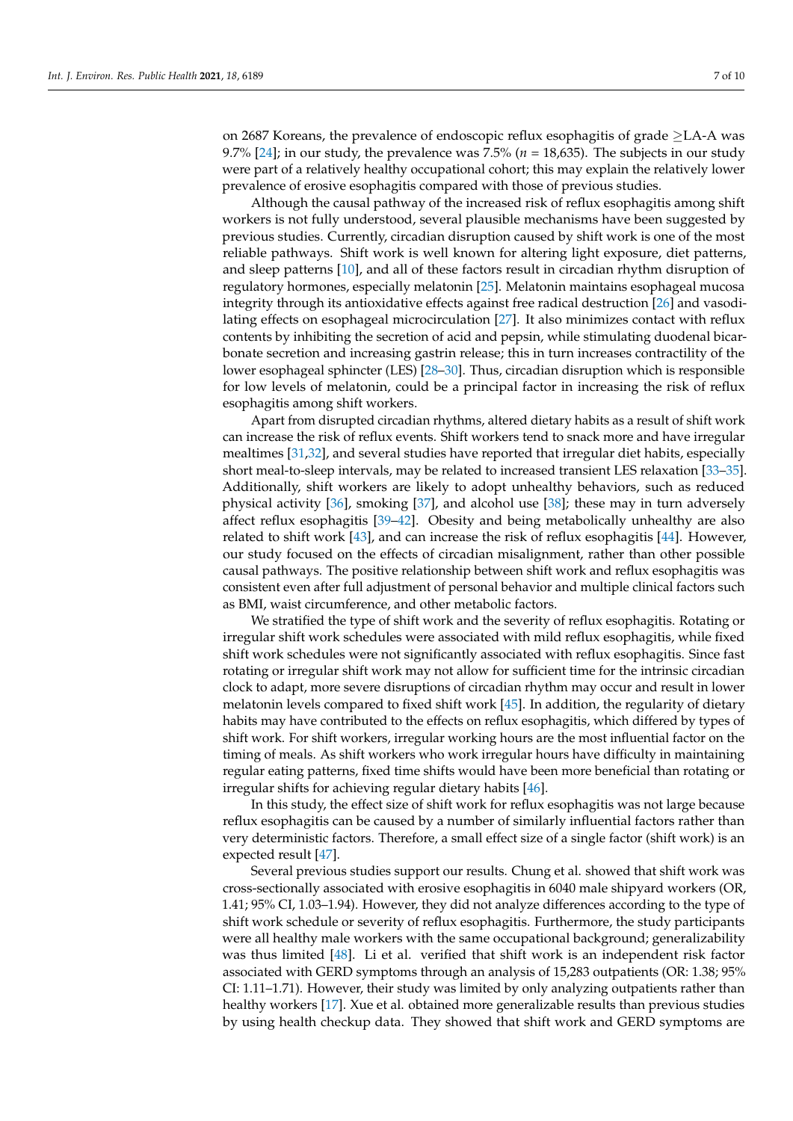on 2687 Koreans, the prevalence of endoscopic reflux esophagitis of grade ≥LA-A was 9.7% [\[24\]](#page-8-20); in our study, the prevalence was 7.5% ( $n = 18,635$ ). The subjects in our study were part of a relatively healthy occupational cohort; this may explain the relatively lower prevalence of erosive esophagitis compared with those of previous studies.

Although the causal pathway of the increased risk of reflux esophagitis among shift workers is not fully understood, several plausible mechanisms have been suggested by previous studies. Currently, circadian disruption caused by shift work is one of the most reliable pathways. Shift work is well known for altering light exposure, diet patterns, and sleep patterns [\[10\]](#page-8-6), and all of these factors result in circadian rhythm disruption of regulatory hormones, especially melatonin [\[25\]](#page-8-21). Melatonin maintains esophageal mucosa integrity through its antioxidative effects against free radical destruction [\[26\]](#page-8-22) and vasodilating effects on esophageal microcirculation [\[27\]](#page-8-23). It also minimizes contact with reflux contents by inhibiting the secretion of acid and pepsin, while stimulating duodenal bicarbonate secretion and increasing gastrin release; this in turn increases contractility of the lower esophageal sphincter (LES) [\[28–](#page-8-24)[30\]](#page-9-0). Thus, circadian disruption which is responsible for low levels of melatonin, could be a principal factor in increasing the risk of reflux esophagitis among shift workers.

Apart from disrupted circadian rhythms, altered dietary habits as a result of shift work can increase the risk of reflux events. Shift workers tend to snack more and have irregular mealtimes [\[31](#page-9-1)[,32\]](#page-9-2), and several studies have reported that irregular diet habits, especially short meal-to-sleep intervals, may be related to increased transient LES relaxation [\[33](#page-9-3)[–35\]](#page-9-4). Additionally, shift workers are likely to adopt unhealthy behaviors, such as reduced physical activity [\[36\]](#page-9-5), smoking [\[37\]](#page-9-6), and alcohol use [\[38\]](#page-9-7); these may in turn adversely affect reflux esophagitis [\[39–](#page-9-8)[42\]](#page-9-9). Obesity and being metabolically unhealthy are also related to shift work [\[43\]](#page-9-10), and can increase the risk of reflux esophagitis [\[44\]](#page-9-11). However, our study focused on the effects of circadian misalignment, rather than other possible causal pathways. The positive relationship between shift work and reflux esophagitis was consistent even after full adjustment of personal behavior and multiple clinical factors such as BMI, waist circumference, and other metabolic factors.

We stratified the type of shift work and the severity of reflux esophagitis. Rotating or irregular shift work schedules were associated with mild reflux esophagitis, while fixed shift work schedules were not significantly associated with reflux esophagitis. Since fast rotating or irregular shift work may not allow for sufficient time for the intrinsic circadian clock to adapt, more severe disruptions of circadian rhythm may occur and result in lower melatonin levels compared to fixed shift work [\[45\]](#page-9-12). In addition, the regularity of dietary habits may have contributed to the effects on reflux esophagitis, which differed by types of shift work. For shift workers, irregular working hours are the most influential factor on the timing of meals. As shift workers who work irregular hours have difficulty in maintaining regular eating patterns, fixed time shifts would have been more beneficial than rotating or irregular shifts for achieving regular dietary habits [\[46\]](#page-9-13).

In this study, the effect size of shift work for reflux esophagitis was not large because reflux esophagitis can be caused by a number of similarly influential factors rather than very deterministic factors. Therefore, a small effect size of a single factor (shift work) is an expected result [\[47\]](#page-9-14).

Several previous studies support our results. Chung et al. showed that shift work was cross-sectionally associated with erosive esophagitis in 6040 male shipyard workers (OR, 1.41; 95% CI, 1.03–1.94). However, they did not analyze differences according to the type of shift work schedule or severity of reflux esophagitis. Furthermore, the study participants were all healthy male workers with the same occupational background; generalizability was thus limited [\[48\]](#page-9-15). Li et al. verified that shift work is an independent risk factor associated with GERD symptoms through an analysis of 15,283 outpatients (OR: 1.38; 95% CI: 1.11–1.71). However, their study was limited by only analyzing outpatients rather than healthy workers [\[17\]](#page-8-13). Xue et al. obtained more generalizable results than previous studies by using health checkup data. They showed that shift work and GERD symptoms are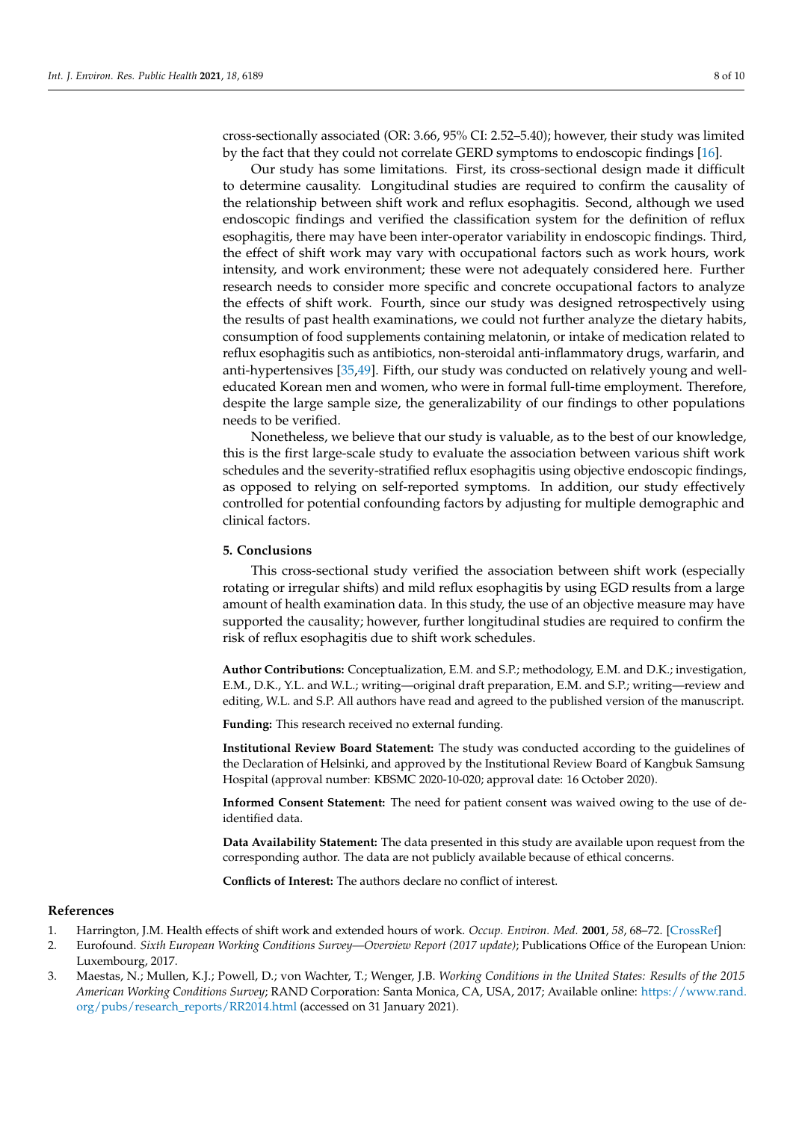cross-sectionally associated (OR: 3.66, 95% CI: 2.52–5.40); however, their study was limited by the fact that they could not correlate GERD symptoms to endoscopic findings [\[16\]](#page-8-12).

Our study has some limitations. First, its cross-sectional design made it difficult to determine causality. Longitudinal studies are required to confirm the causality of the relationship between shift work and reflux esophagitis. Second, although we used endoscopic findings and verified the classification system for the definition of reflux esophagitis, there may have been inter-operator variability in endoscopic findings. Third, the effect of shift work may vary with occupational factors such as work hours, work intensity, and work environment; these were not adequately considered here. Further research needs to consider more specific and concrete occupational factors to analyze the effects of shift work. Fourth, since our study was designed retrospectively using the results of past health examinations, we could not further analyze the dietary habits, consumption of food supplements containing melatonin, or intake of medication related to reflux esophagitis such as antibiotics, non-steroidal anti-inflammatory drugs, warfarin, and anti-hypertensives [\[35,](#page-9-4)[49\]](#page-9-16). Fifth, our study was conducted on relatively young and welleducated Korean men and women, who were in formal full-time employment. Therefore, despite the large sample size, the generalizability of our findings to other populations needs to be verified.

Nonetheless, we believe that our study is valuable, as to the best of our knowledge, this is the first large-scale study to evaluate the association between various shift work schedules and the severity-stratified reflux esophagitis using objective endoscopic findings, as opposed to relying on self-reported symptoms. In addition, our study effectively controlled for potential confounding factors by adjusting for multiple demographic and clinical factors.

### **5. Conclusions**

This cross-sectional study verified the association between shift work (especially rotating or irregular shifts) and mild reflux esophagitis by using EGD results from a large amount of health examination data. In this study, the use of an objective measure may have supported the causality; however, further longitudinal studies are required to confirm the risk of reflux esophagitis due to shift work schedules.

**Author Contributions:** Conceptualization, E.M. and S.P.; methodology, E.M. and D.K.; investigation, E.M., D.K., Y.L. and W.L.; writing—original draft preparation, E.M. and S.P.; writing—review and editing, W.L. and S.P. All authors have read and agreed to the published version of the manuscript.

**Funding:** This research received no external funding.

**Institutional Review Board Statement:** The study was conducted according to the guidelines of the Declaration of Helsinki, and approved by the Institutional Review Board of Kangbuk Samsung Hospital (approval number: KBSMC 2020-10-020; approval date: 16 October 2020).

**Informed Consent Statement:** The need for patient consent was waived owing to the use of deidentified data.

**Data Availability Statement:** The data presented in this study are available upon request from the corresponding author. The data are not publicly available because of ethical concerns.

**Conflicts of Interest:** The authors declare no conflict of interest.

#### **References**

- <span id="page-7-0"></span>1. Harrington, J.M. Health effects of shift work and extended hours of work. *Occup. Environ. Med.* **2001**, *58*, 68–72. [\[CrossRef\]](http://doi.org/10.1136/oem.58.1.68)
- <span id="page-7-1"></span>2. Eurofound. *Sixth European Working Conditions Survey—Overview Report (2017 update)*; Publications Office of the European Union: Luxembourg, 2017.
- <span id="page-7-2"></span>3. Maestas, N.; Mullen, K.J.; Powell, D.; von Wachter, T.; Wenger, J.B. *Working Conditions in the United States: Results of the 2015 American Working Conditions Survey*; RAND Corporation: Santa Monica, CA, USA, 2017; Available online: [https://www.rand.](https://www.rand.org/pubs/research_reports/RR2014.html) [org/pubs/research\\_reports/RR2014.html](https://www.rand.org/pubs/research_reports/RR2014.html) (accessed on 31 January 2021).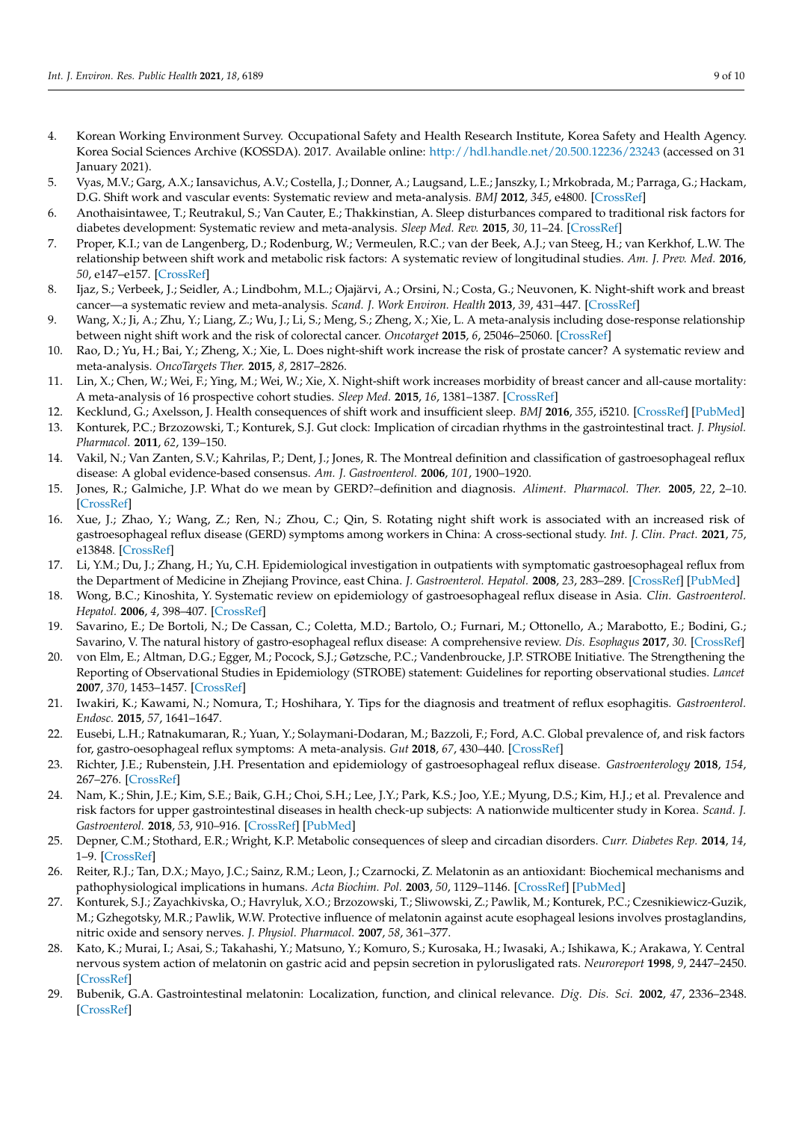- <span id="page-8-0"></span>4. Korean Working Environment Survey. Occupational Safety and Health Research Institute, Korea Safety and Health Agency. Korea Social Sciences Archive (KOSSDA). 2017. Available online: <http://hdl.handle.net/20.500.12236/23243> (accessed on 31 January 2021).
- <span id="page-8-1"></span>5. Vyas, M.V.; Garg, A.X.; Iansavichus, A.V.; Costella, J.; Donner, A.; Laugsand, L.E.; Janszky, I.; Mrkobrada, M.; Parraga, G.; Hackam, D.G. Shift work and vascular events: Systematic review and meta-analysis. *BMJ* **2012**, *345*, e4800. [\[CrossRef\]](http://doi.org/10.1136/bmj.e4800)
- <span id="page-8-2"></span>6. Anothaisintawee, T.; Reutrakul, S.; Van Cauter, E.; Thakkinstian, A. Sleep disturbances compared to traditional risk factors for diabetes development: Systematic review and meta-analysis. *Sleep Med. Rev.* **2015**, *30*, 11–24. [\[CrossRef\]](http://doi.org/10.1016/j.smrv.2015.10.002)
- <span id="page-8-3"></span>7. Proper, K.I.; van de Langenberg, D.; Rodenburg, W.; Vermeulen, R.C.; van der Beek, A.J.; van Steeg, H.; van Kerkhof, L.W. The relationship between shift work and metabolic risk factors: A systematic review of longitudinal studies. *Am. J. Prev. Med.* **2016**, *50*, e147–e157. [\[CrossRef\]](http://doi.org/10.1016/j.amepre.2015.11.013)
- <span id="page-8-4"></span>8. Ijaz, S.; Verbeek, J.; Seidler, A.; Lindbohm, M.L.; Ojajärvi, A.; Orsini, N.; Costa, G.; Neuvonen, K. Night-shift work and breast cancer—a systematic review and meta-analysis. *Scand. J. Work Environ. Health* **2013**, *39*, 431–447. [\[CrossRef\]](http://doi.org/10.5271/sjweh.3371)
- <span id="page-8-5"></span>9. Wang, X.; Ji, A.; Zhu, Y.; Liang, Z.; Wu, J.; Li, S.; Meng, S.; Zheng, X.; Xie, L. A meta-analysis including dose-response relationship between night shift work and the risk of colorectal cancer. *Oncotarget* **2015**, *6*, 25046–25060. [\[CrossRef\]](http://doi.org/10.18632/oncotarget.4502)
- <span id="page-8-6"></span>10. Rao, D.; Yu, H.; Bai, Y.; Zheng, X.; Xie, L. Does night-shift work increase the risk of prostate cancer? A systematic review and meta-analysis. *OncoTargets Ther.* **2015**, *8*, 2817–2826.
- <span id="page-8-7"></span>11. Lin, X.; Chen, W.; Wei, F.; Ying, M.; Wei, W.; Xie, X. Night-shift work increases morbidity of breast cancer and all-cause mortality: A meta-analysis of 16 prospective cohort studies. *Sleep Med.* **2015**, *16*, 1381–1387. [\[CrossRef\]](http://doi.org/10.1016/j.sleep.2015.02.543)
- <span id="page-8-8"></span>12. Kecklund, G.; Axelsson, J. Health consequences of shift work and insufficient sleep. *BMJ* **2016**, *355*, i5210. [\[CrossRef\]](http://doi.org/10.1136/bmj.i5210) [\[PubMed\]](http://www.ncbi.nlm.nih.gov/pubmed/27803010)
- <span id="page-8-9"></span>13. Konturek, P.C.; Brzozowski, T.; Konturek, S.J. Gut clock: Implication of circadian rhythms in the gastrointestinal tract. *J. Physiol. Pharmacol.* **2011**, *62*, 139–150.
- <span id="page-8-10"></span>14. Vakil, N.; Van Zanten, S.V.; Kahrilas, P.; Dent, J.; Jones, R. The Montreal definition and classification of gastroesophageal reflux disease: A global evidence-based consensus. *Am. J. Gastroenterol.* **2006**, *101*, 1900–1920.
- <span id="page-8-11"></span>15. Jones, R.; Galmiche, J.P. What do we mean by GERD?–definition and diagnosis. *Aliment. Pharmacol. Ther.* **2005**, *22*, 2–10. [\[CrossRef\]](http://doi.org/10.1111/j.1365-2036.2005.02610.x)
- <span id="page-8-12"></span>16. Xue, J.; Zhao, Y.; Wang, Z.; Ren, N.; Zhou, C.; Qin, S. Rotating night shift work is associated with an increased risk of gastroesophageal reflux disease (GERD) symptoms among workers in China: A cross-sectional study. *Int. J. Clin. Pract.* **2021**, *75*, e13848. [\[CrossRef\]](http://doi.org/10.1111/ijcp.13848)
- <span id="page-8-13"></span>17. Li, Y.M.; Du, J.; Zhang, H.; Yu, C.H. Epidemiological investigation in outpatients with symptomatic gastroesophageal reflux from the Department of Medicine in Zhejiang Province, east China. *J. Gastroenterol. Hepatol.* **2008**, *23*, 283–289. [\[CrossRef\]](http://doi.org/10.1111/j.1440-1746.2007.05045.x) [\[PubMed\]](http://www.ncbi.nlm.nih.gov/pubmed/17645475)
- <span id="page-8-14"></span>18. Wong, B.C.; Kinoshita, Y. Systematic review on epidemiology of gastroesophageal reflux disease in Asia. *Clin. Gastroenterol. Hepatol.* **2006**, *4*, 398–407. [\[CrossRef\]](http://doi.org/10.1016/j.cgh.2005.10.011)
- <span id="page-8-15"></span>19. Savarino, E.; De Bortoli, N.; De Cassan, C.; Coletta, M.D.; Bartolo, O.; Furnari, M.; Ottonello, A.; Marabotto, E.; Bodini, G.; Savarino, V. The natural history of gastro-esophageal reflux disease: A comprehensive review. *Dis. Esophagus* **2017**, *30*. [\[CrossRef\]](http://doi.org/10.1111/dote.12511)
- <span id="page-8-16"></span>20. von Elm, E.; Altman, D.G.; Egger, M.; Pocock, S.J.; Gøtzsche, P.C.; Vandenbroucke, J.P. STROBE Initiative. The Strengthening the Reporting of Observational Studies in Epidemiology (STROBE) statement: Guidelines for reporting observational studies. *Lancet* **2007**, *370*, 1453–1457. [\[CrossRef\]](http://doi.org/10.1016/S0140-6736(07)61602-X)
- <span id="page-8-17"></span>21. Iwakiri, K.; Kawami, N.; Nomura, T.; Hoshihara, Y. Tips for the diagnosis and treatment of reflux esophagitis. *Gastroenterol. Endosc.* **2015**, *57*, 1641–1647.
- <span id="page-8-18"></span>22. Eusebi, L.H.; Ratnakumaran, R.; Yuan, Y.; Solaymani-Dodaran, M.; Bazzoli, F.; Ford, A.C. Global prevalence of, and risk factors for, gastro-oesophageal reflux symptoms: A meta-analysis. *Gut* **2018**, *67*, 430–440. [\[CrossRef\]](http://doi.org/10.1136/gutjnl-2016-313589)
- <span id="page-8-19"></span>23. Richter, J.E.; Rubenstein, J.H. Presentation and epidemiology of gastroesophageal reflux disease. *Gastroenterology* **2018**, *154*, 267–276. [\[CrossRef\]](http://doi.org/10.1053/j.gastro.2017.07.045)
- <span id="page-8-20"></span>24. Nam, K.; Shin, J.E.; Kim, S.E.; Baik, G.H.; Choi, S.H.; Lee, J.Y.; Park, K.S.; Joo, Y.E.; Myung, D.S.; Kim, H.J.; et al. Prevalence and risk factors for upper gastrointestinal diseases in health check-up subjects: A nationwide multicenter study in Korea. *Scand. J. Gastroenterol.* **2018**, *53*, 910–916. [\[CrossRef\]](http://doi.org/10.1080/00365521.2018.1487992) [\[PubMed\]](http://www.ncbi.nlm.nih.gov/pubmed/30169983)
- <span id="page-8-21"></span>25. Depner, C.M.; Stothard, E.R.; Wright, K.P. Metabolic consequences of sleep and circadian disorders. *Curr. Diabetes Rep.* **2014**, *14*, 1–9. [\[CrossRef\]](http://doi.org/10.1007/s11892-014-0507-z)
- <span id="page-8-22"></span>26. Reiter, R.J.; Tan, D.X.; Mayo, J.C.; Sainz, R.M.; Leon, J.; Czarnocki, Z. Melatonin as an antioxidant: Biochemical mechanisms and pathophysiological implications in humans. *Acta Biochim. Pol.* **2003**, *50*, 1129–1146. [\[CrossRef\]](http://doi.org/10.18388/abp.2003_3637) [\[PubMed\]](http://www.ncbi.nlm.nih.gov/pubmed/14740000)
- <span id="page-8-23"></span>27. Konturek, S.J.; Zayachkivska, O.; Havryluk, X.O.; Brzozowski, T.; Sliwowski, Z.; Pawlik, M.; Konturek, P.C.; Czesnikiewicz-Guzik, M.; Gzhegotsky, M.R.; Pawlik, W.W. Protective influence of melatonin against acute esophageal lesions involves prostaglandins, nitric oxide and sensory nerves. *J. Physiol. Pharmacol.* **2007**, *58*, 361–377.
- <span id="page-8-24"></span>28. Kato, K.; Murai, I.; Asai, S.; Takahashi, Y.; Matsuno, Y.; Komuro, S.; Kurosaka, H.; Iwasaki, A.; Ishikawa, K.; Arakawa, Y. Central nervous system action of melatonin on gastric acid and pepsin secretion in pylorusligated rats. *Neuroreport* **1998**, *9*, 2447–2450. [\[CrossRef\]](http://doi.org/10.1097/00001756-199808030-00004)
- 29. Bubenik, G.A. Gastrointestinal melatonin: Localization, function, and clinical relevance. *Dig. Dis. Sci.* **2002**, *47*, 2336–2348. [\[CrossRef\]](http://doi.org/10.1023/A:1020107915919)